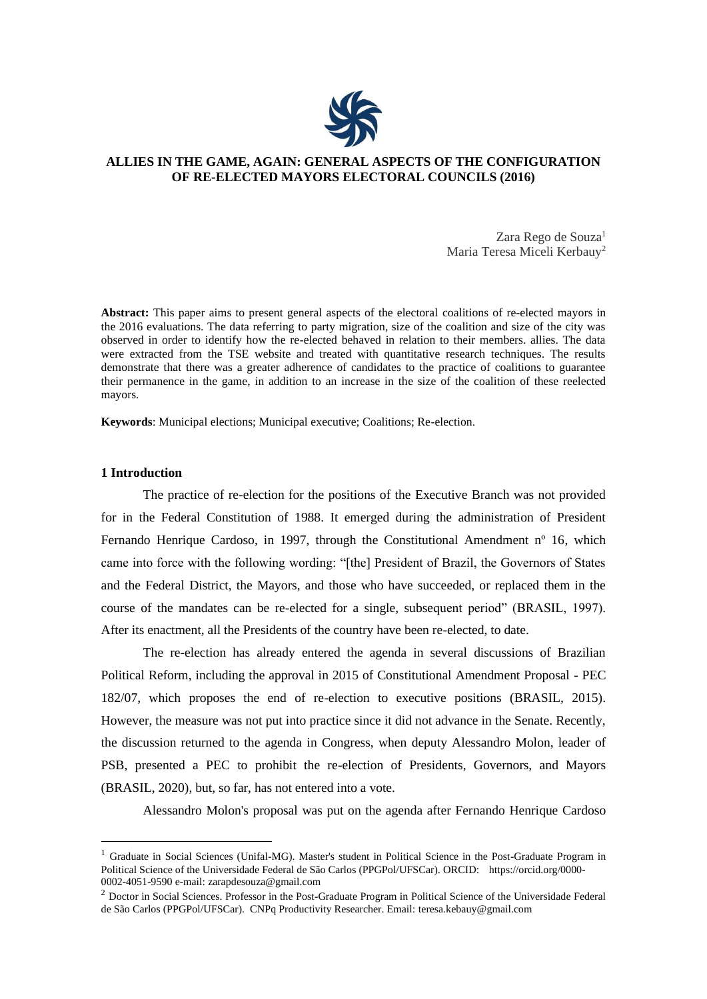

# **ALLIES IN THE GAME, AGAIN: GENERAL ASPECTS OF THE CONFIGURATION OF RE-ELECTED MAYORS ELECTORAL COUNCILS (2016)**

Zara Rego de Souza<sup>1</sup> Maria Teresa Miceli Kerbauy<sup>2</sup>

**Abstract:** This paper aims to present general aspects of the electoral coalitions of re-elected mayors in the 2016 evaluations. The data referring to party migration, size of the coalition and size of the city was observed in order to identify how the re-elected behaved in relation to their members. allies. The data were extracted from the TSE website and treated with quantitative research techniques. The results demonstrate that there was a greater adherence of candidates to the practice of coalitions to guarantee their permanence in the game, in addition to an increase in the size of the coalition of these reelected mayors.

**Keywords**: Municipal elections; Municipal executive; Coalitions; Re-election.

## **1 Introduction**

The practice of re-election for the positions of the Executive Branch was not provided for in the Federal Constitution of 1988. It emerged during the administration of President Fernando Henrique Cardoso, in 1997, through the Constitutional Amendment n° 16, which came into force with the following wording: "[the] President of Brazil, the Governors of States and the Federal District, the Mayors, and those who have succeeded, or replaced them in the course of the mandates can be re-elected for a single, subsequent period" (BRASIL, 1997). After its enactment, all the Presidents of the country have been re-elected, to date.

The re-election has already entered the agenda in several discussions of Brazilian Political Reform, including the approval in 2015 of Constitutional Amendment Proposal - PEC 182/07, which proposes the end of re-election to executive positions (BRASIL, 2015). However, the measure was not put into practice since it did not advance in the Senate. Recently, the discussion returned to the agenda in Congress, when deputy Alessandro Molon, leader of PSB, presented a PEC to prohibit the re-election of Presidents, Governors, and Mayors (BRASIL, 2020), but, so far, has not entered into a vote.

Alessandro Molon's proposal was put on the agenda after Fernando Henrique Cardoso

 $<sup>1</sup>$  Graduate in Social Sciences (Unifal-MG). Master's student in Political Science in the Post-Graduate Program in</sup> Political Science of the Universidade Federal de São Carlos (PPGPol/UFSCar). ORCID: https://orcid.org/0000- 0002-4051-9590 e-mail: [zarapdesouza@gmail.com](mailto:zarapdesouza@gmail.com)

<sup>&</sup>lt;sup>2</sup> Doctor in Social Sciences. Professor in the Post-Graduate Program in Political Science of the Universidade Federal de São Carlos (PPGPol/UFSCar). CNPq Productivity Researcher. Email: [teresa.kebauy@gmail.com](mailto:teresa.kebauy@gmail.com)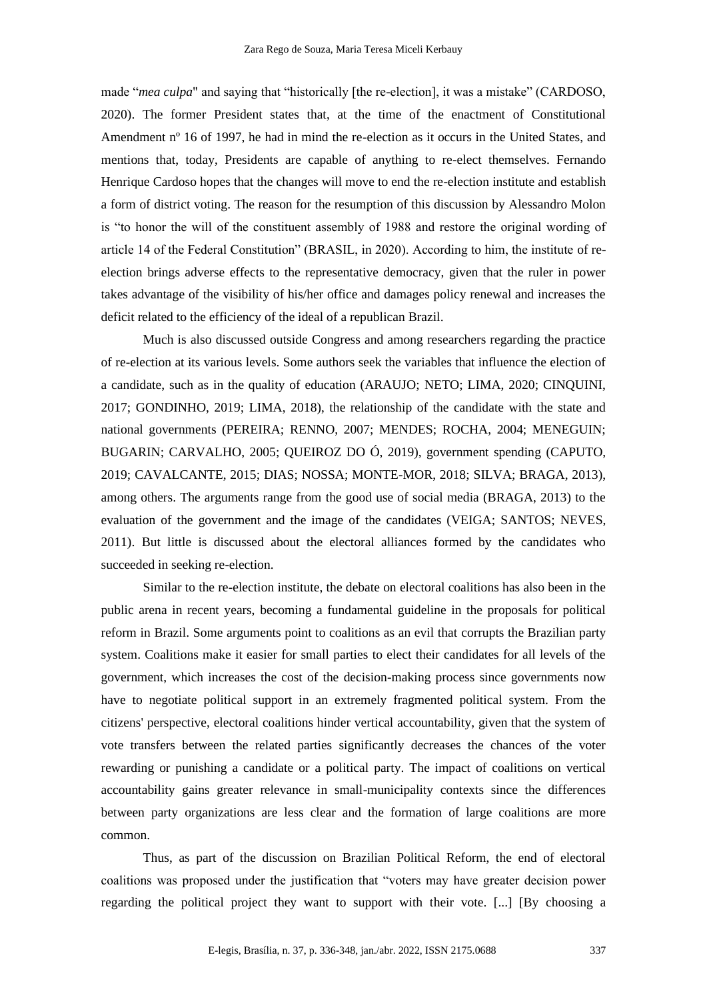made "*mea culpa*" and saying that "historically [the re-election], it was a mistake" (CARDOSO, 2020). The former President states that, at the time of the enactment of Constitutional Amendment nº 16 of 1997, he had in mind the re-election as it occurs in the United States, and mentions that, today, Presidents are capable of anything to re-elect themselves. Fernando Henrique Cardoso hopes that the changes will move to end the re-election institute and establish a form of district voting. The reason for the resumption of this discussion by Alessandro Molon is "to honor the will of the constituent assembly of 1988 and restore the original wording of article 14 of the Federal Constitution" (BRASIL, in 2020). According to him, the institute of reelection brings adverse effects to the representative democracy, given that the ruler in power takes advantage of the visibility of his/her office and damages policy renewal and increases the deficit related to the efficiency of the ideal of a republican Brazil.

Much is also discussed outside Congress and among researchers regarding the practice of re-election at its various levels. Some authors seek the variables that influence the election of a candidate, such as in the quality of education (ARAUJO; NETO; LIMA, 2020; CINQUINI, 2017; GONDINHO, 2019; LIMA, 2018), the relationship of the candidate with the state and national governments (PEREIRA; RENNO, 2007; MENDES; ROCHA, 2004; MENEGUIN; BUGARIN; CARVALHO, 2005; QUEIROZ DO Ó, 2019), government spending (CAPUTO, 2019; CAVALCANTE, 2015; DIAS; NOSSA; MONTE-MOR, 2018; SILVA; BRAGA, 2013), among others. The arguments range from the good use of social media (BRAGA, 2013) to the evaluation of the government and the image of the candidates (VEIGA; SANTOS; NEVES, 2011). But little is discussed about the electoral alliances formed by the candidates who succeeded in seeking re-election.

Similar to the re-election institute, the debate on electoral coalitions has also been in the public arena in recent years, becoming a fundamental guideline in the proposals for political reform in Brazil. Some arguments point to coalitions as an evil that corrupts the Brazilian party system. Coalitions make it easier for small parties to elect their candidates for all levels of the government, which increases the cost of the decision-making process since governments now have to negotiate political support in an extremely fragmented political system. From the citizens' perspective, electoral coalitions hinder vertical accountability, given that the system of vote transfers between the related parties significantly decreases the chances of the voter rewarding or punishing a candidate or a political party. The impact of coalitions on vertical accountability gains greater relevance in small-municipality contexts since the differences between party organizations are less clear and the formation of large coalitions are more common.

Thus, as part of the discussion on Brazilian Political Reform, the end of electoral coalitions was proposed under the justification that "voters may have greater decision power regarding the political project they want to support with their vote. [...] [By choosing a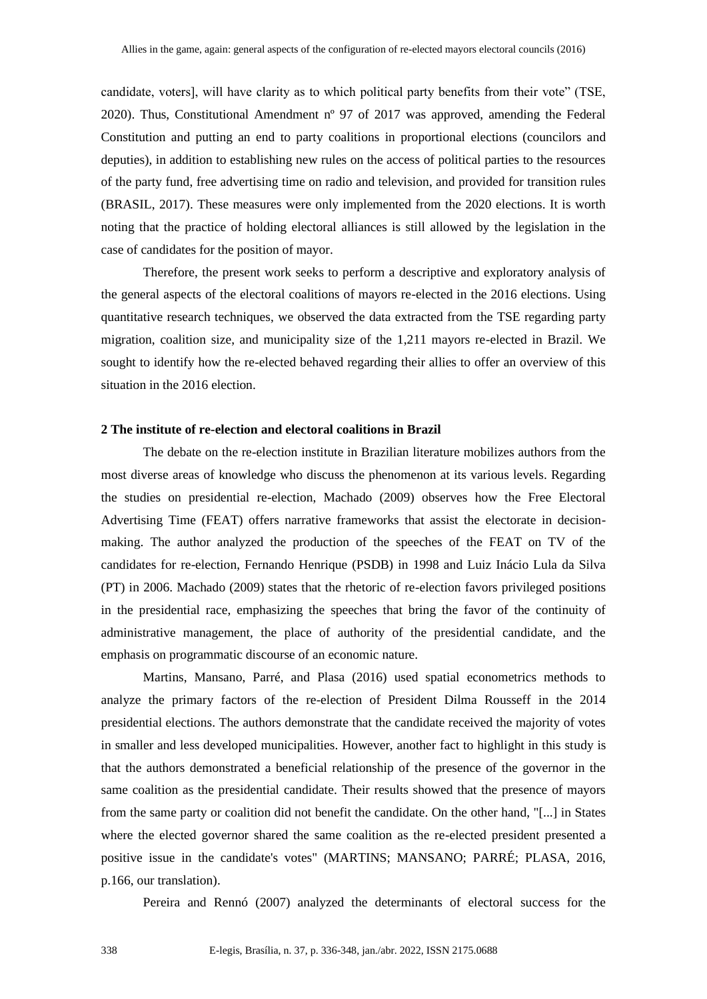candidate, voters], will have clarity as to which political party benefits from their vote" (TSE, 2020). Thus, Constitutional Amendment nº 97 of 2017 was approved, amending the Federal Constitution and putting an end to party coalitions in proportional elections (councilors and deputies), in addition to establishing new rules on the access of political parties to the resources of the party fund, free advertising time on radio and television, and provided for transition rules (BRASIL, 2017). These measures were only implemented from the 2020 elections. It is worth noting that the practice of holding electoral alliances is still allowed by the legislation in the case of candidates for the position of mayor.

Therefore, the present work seeks to perform a descriptive and exploratory analysis of the general aspects of the electoral coalitions of mayors re-elected in the 2016 elections. Using quantitative research techniques, we observed the data extracted from the TSE regarding party migration, coalition size, and municipality size of the 1,211 mayors re-elected in Brazil. We sought to identify how the re-elected behaved regarding their allies to offer an overview of this situation in the 2016 election.

#### **2 The institute of re-election and electoral coalitions in Brazil**

The debate on the re-election institute in Brazilian literature mobilizes authors from the most diverse areas of knowledge who discuss the phenomenon at its various levels. Regarding the studies on presidential re-election, Machado (2009) observes how the Free Electoral Advertising Time (FEAT) offers narrative frameworks that assist the electorate in decisionmaking. The author analyzed the production of the speeches of the FEAT on TV of the candidates for re-election, Fernando Henrique (PSDB) in 1998 and Luiz Inácio Lula da Silva (PT) in 2006. Machado (2009) states that the rhetoric of re-election favors privileged positions in the presidential race, emphasizing the speeches that bring the favor of the continuity of administrative management, the place of authority of the presidential candidate, and the emphasis on programmatic discourse of an economic nature.

Martins, Mansano, Parré, and Plasa (2016) used spatial econometrics methods to analyze the primary factors of the re-election of President Dilma Rousseff in the 2014 presidential elections. The authors demonstrate that the candidate received the majority of votes in smaller and less developed municipalities. However, another fact to highlight in this study is that the authors demonstrated a beneficial relationship of the presence of the governor in the same coalition as the presidential candidate. Their results showed that the presence of mayors from the same party or coalition did not benefit the candidate. On the other hand, "[...] in States where the elected governor shared the same coalition as the re-elected president presented a positive issue in the candidate's votes" (MARTINS; MANSANO; PARRÉ; PLASA, 2016, p.166, our translation).

Pereira and Rennó (2007) analyzed the determinants of electoral success for the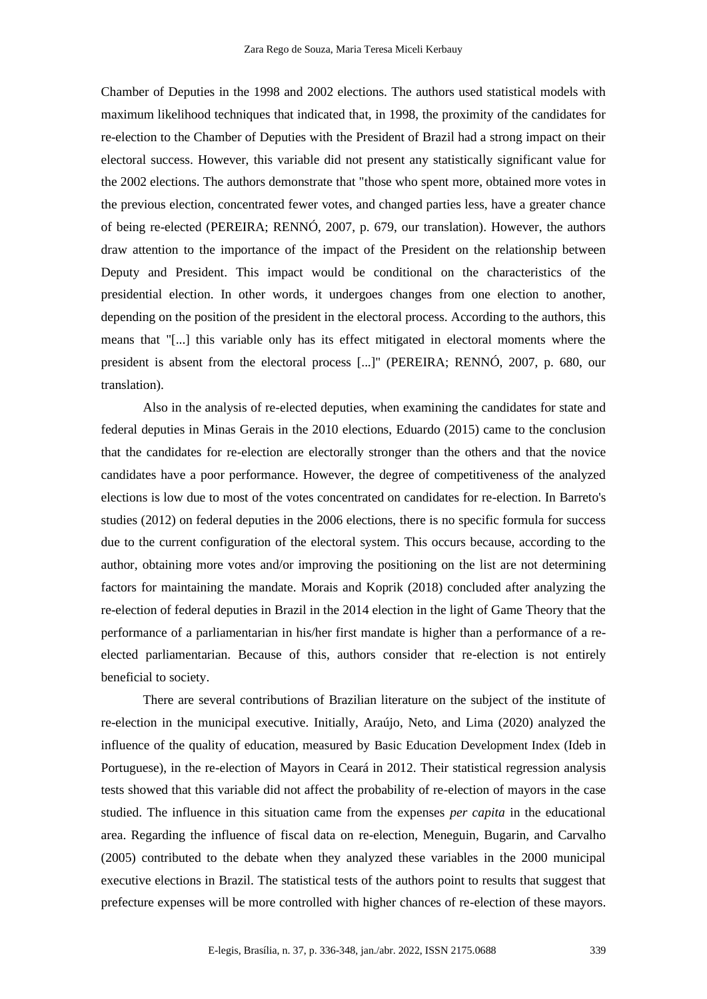Chamber of Deputies in the 1998 and 2002 elections. The authors used statistical models with maximum likelihood techniques that indicated that, in 1998, the proximity of the candidates for re-election to the Chamber of Deputies with the President of Brazil had a strong impact on their electoral success. However, this variable did not present any statistically significant value for the 2002 elections. The authors demonstrate that "those who spent more, obtained more votes in the previous election, concentrated fewer votes, and changed parties less, have a greater chance of being re-elected (PEREIRA; RENNÓ, 2007, p. 679, our translation). However, the authors draw attention to the importance of the impact of the President on the relationship between Deputy and President. This impact would be conditional on the characteristics of the presidential election. In other words, it undergoes changes from one election to another, depending on the position of the president in the electoral process. According to the authors, this means that "[...] this variable only has its effect mitigated in electoral moments where the president is absent from the electoral process [...]" (PEREIRA; RENNÓ, 2007, p. 680, our translation).

Also in the analysis of re-elected deputies, when examining the candidates for state and federal deputies in Minas Gerais in the 2010 elections, Eduardo (2015) came to the conclusion that the candidates for re-election are electorally stronger than the others and that the novice candidates have a poor performance. However, the degree of competitiveness of the analyzed elections is low due to most of the votes concentrated on candidates for re-election. In Barreto's studies (2012) on federal deputies in the 2006 elections, there is no specific formula for success due to the current configuration of the electoral system. This occurs because, according to the author, obtaining more votes and/or improving the positioning on the list are not determining factors for maintaining the mandate. Morais and Koprik (2018) concluded after analyzing the re-election of federal deputies in Brazil in the 2014 election in the light of Game Theory that the performance of a parliamentarian in his/her first mandate is higher than a performance of a reelected parliamentarian. Because of this, authors consider that re-election is not entirely beneficial to society.

There are several contributions of Brazilian literature on the subject of the institute of re-election in the municipal executive. Initially, Araújo, Neto, and Lima (2020) analyzed the influence of the quality of education, measured by Basic Education Development Index (Ideb in Portuguese), in the re-election of Mayors in Ceará in 2012. Their statistical regression analysis tests showed that this variable did not affect the probability of re-election of mayors in the case studied. The influence in this situation came from the expenses *per capita* in the educational area. Regarding the influence of fiscal data on re-election, Meneguin, Bugarin, and Carvalho (2005) contributed to the debate when they analyzed these variables in the 2000 municipal executive elections in Brazil. The statistical tests of the authors point to results that suggest that prefecture expenses will be more controlled with higher chances of re-election of these mayors.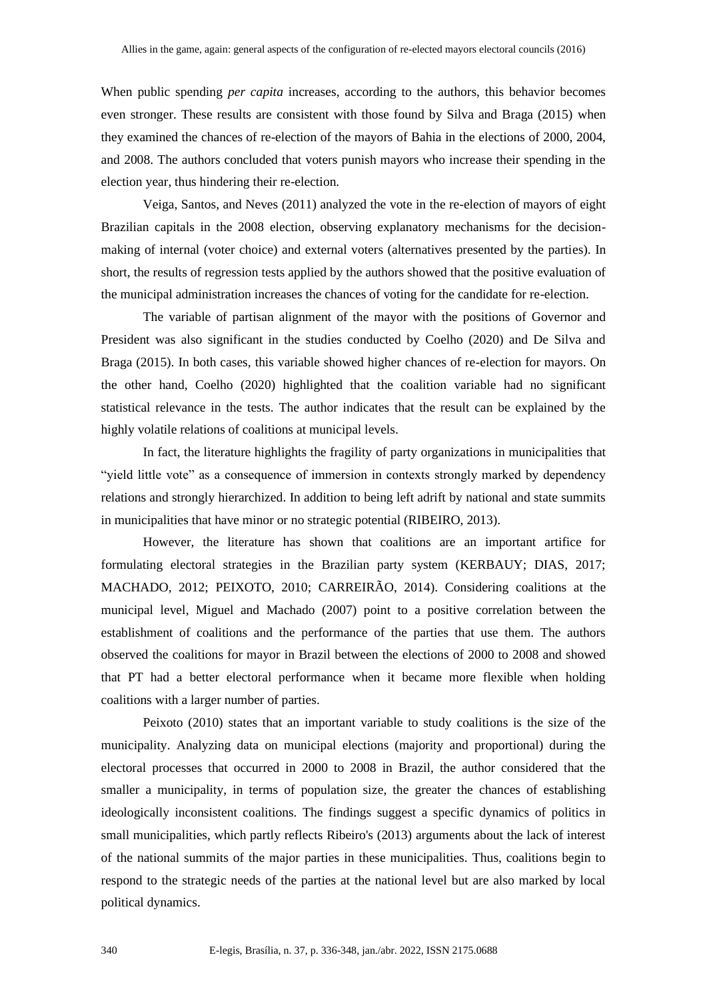When public spending *per capita* increases, according to the authors, this behavior becomes even stronger. These results are consistent with those found by Silva and Braga (2015) when they examined the chances of re-election of the mayors of Bahia in the elections of 2000, 2004, and 2008. The authors concluded that voters punish mayors who increase their spending in the election year, thus hindering their re-election.

Veiga, Santos, and Neves (2011) analyzed the vote in the re-election of mayors of eight Brazilian capitals in the 2008 election, observing explanatory mechanisms for the decisionmaking of internal (voter choice) and external voters (alternatives presented by the parties). In short, the results of regression tests applied by the authors showed that the positive evaluation of the municipal administration increases the chances of voting for the candidate for re-election.

The variable of partisan alignment of the mayor with the positions of Governor and President was also significant in the studies conducted by Coelho (2020) and De Silva and Braga (2015). In both cases, this variable showed higher chances of re-election for mayors. On the other hand, Coelho (2020) highlighted that the coalition variable had no significant statistical relevance in the tests. The author indicates that the result can be explained by the highly volatile relations of coalitions at municipal levels.

In fact, the literature highlights the fragility of party organizations in municipalities that "yield little vote" as a consequence of immersion in contexts strongly marked by dependency relations and strongly hierarchized. In addition to being left adrift by national and state summits in municipalities that have minor or no strategic potential (RIBEIRO, 2013).

However, the literature has shown that coalitions are an important artifice for formulating electoral strategies in the Brazilian party system (KERBAUY; DIAS, 2017; MACHADO, 2012; PEIXOTO, 2010; CARREIRÃO, 2014). Considering coalitions at the municipal level, Miguel and Machado (2007) point to a positive correlation between the establishment of coalitions and the performance of the parties that use them. The authors observed the coalitions for mayor in Brazil between the elections of 2000 to 2008 and showed that PT had a better electoral performance when it became more flexible when holding coalitions with a larger number of parties.

Peixoto (2010) states that an important variable to study coalitions is the size of the municipality. Analyzing data on municipal elections (majority and proportional) during the electoral processes that occurred in 2000 to 2008 in Brazil, the author considered that the smaller a municipality, in terms of population size, the greater the chances of establishing ideologically inconsistent coalitions. The findings suggest a specific dynamics of politics in small municipalities, which partly reflects Ribeiro's (2013) arguments about the lack of interest of the national summits of the major parties in these municipalities. Thus, coalitions begin to respond to the strategic needs of the parties at the national level but are also marked by local political dynamics.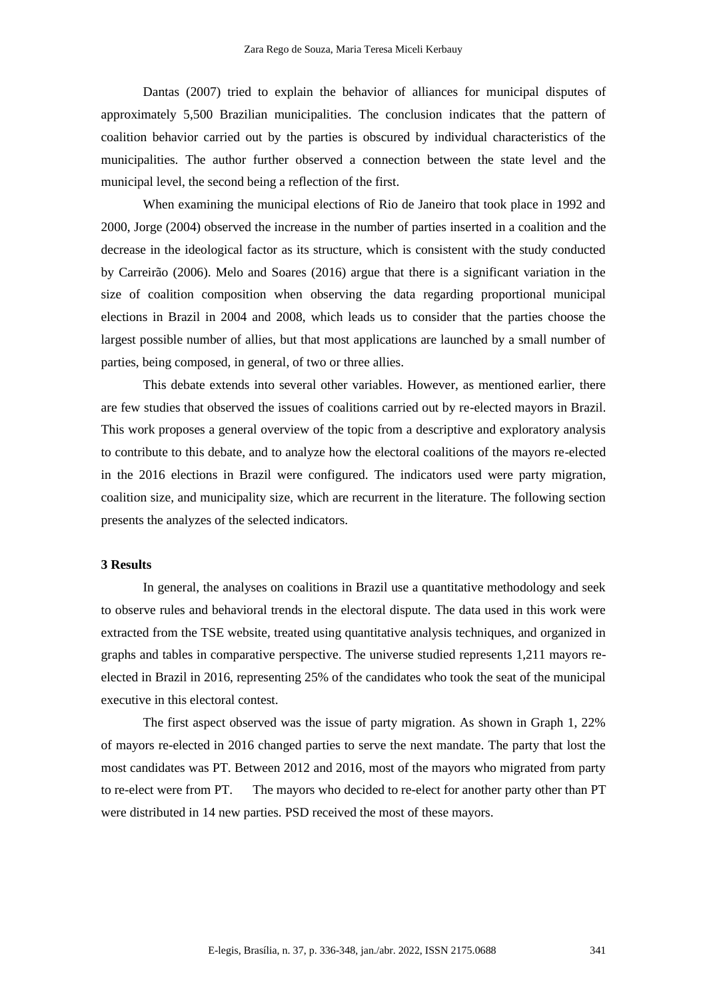Dantas (2007) tried to explain the behavior of alliances for municipal disputes of approximately 5,500 Brazilian municipalities. The conclusion indicates that the pattern of coalition behavior carried out by the parties is obscured by individual characteristics of the municipalities. The author further observed a connection between the state level and the municipal level, the second being a reflection of the first.

When examining the municipal elections of Rio de Janeiro that took place in 1992 and 2000, Jorge (2004) observed the increase in the number of parties inserted in a coalition and the decrease in the ideological factor as its structure, which is consistent with the study conducted by Carreirão (2006). Melo and Soares (2016) argue that there is a significant variation in the size of coalition composition when observing the data regarding proportional municipal elections in Brazil in 2004 and 2008, which leads us to consider that the parties choose the largest possible number of allies, but that most applications are launched by a small number of parties, being composed, in general, of two or three allies.

This debate extends into several other variables. However, as mentioned earlier, there are few studies that observed the issues of coalitions carried out by re-elected mayors in Brazil. This work proposes a general overview of the topic from a descriptive and exploratory analysis to contribute to this debate, and to analyze how the electoral coalitions of the mayors re-elected in the 2016 elections in Brazil were configured. The indicators used were party migration, coalition size, and municipality size, which are recurrent in the literature. The following section presents the analyzes of the selected indicators.

# **3 Results**

In general, the analyses on coalitions in Brazil use a quantitative methodology and seek to observe rules and behavioral trends in the electoral dispute. The data used in this work were extracted from the TSE website, treated using quantitative analysis techniques, and organized in graphs and tables in comparative perspective. The universe studied represents 1,211 mayors reelected in Brazil in 2016, representing 25% of the candidates who took the seat of the municipal executive in this electoral contest.

The first aspect observed was the issue of party migration. As shown in Graph 1, 22% of mayors re-elected in 2016 changed parties to serve the next mandate. The party that lost the most candidates was PT. Between 2012 and 2016, most of the mayors who migrated from party to re-elect were from PT. The mayors who decided to re-elect for another party other than PT were distributed in 14 new parties. PSD received the most of these mayors.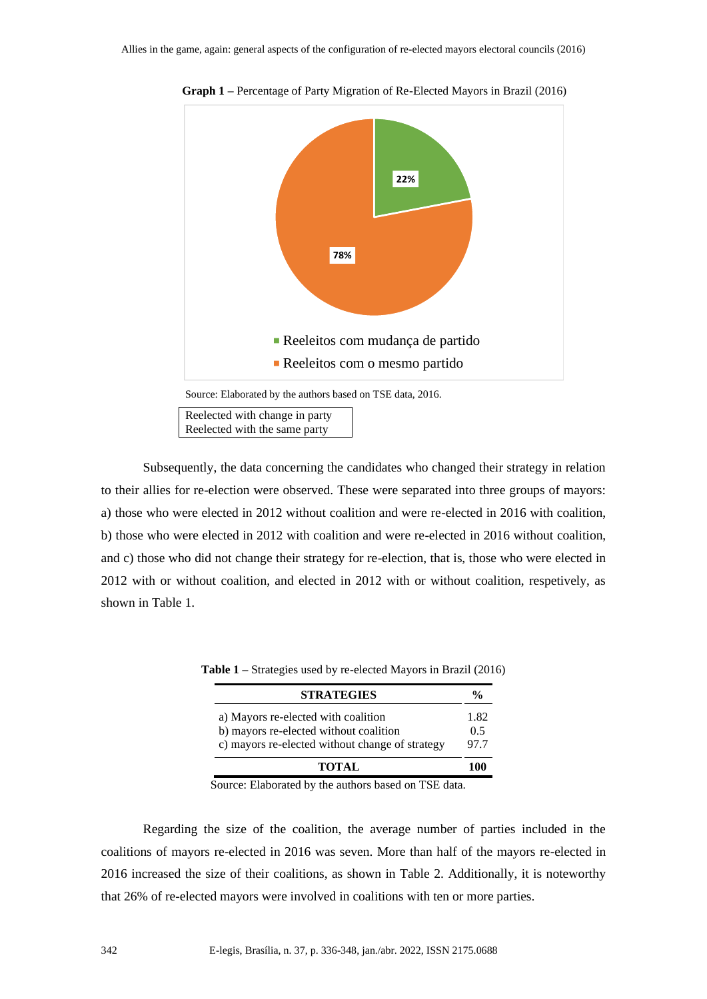

**Graph 1 –** Percentage of Party Migration of Re-Elected Mayors in Brazil (2016)

Reelected with the same party

Subsequently, the data concerning the candidates who changed their strategy in relation to their allies for re-election were observed. These were separated into three groups of mayors: a) those who were elected in 2012 without coalition and were re-elected in 2016 with coalition, b) those who were elected in 2012 with coalition and were re-elected in 2016 without coalition, and c) those who did not change their strategy for re-election, that is, those who were elected in 2012 with or without coalition, and elected in 2012 with or without coalition, respetively, as shown in Table 1.

| <b>STRATEGIES</b>                                                                                         | %    |
|-----------------------------------------------------------------------------------------------------------|------|
| a) Mayors re-elected with coalition                                                                       | 1.82 |
| b) mayors re-elected without coalition<br>c) mayors re-elected without change of strategy<br><b>TOTAL</b> |      |

**Table 1 –** Strategies used by re-elected Mayors in Brazil (2016)

Source: Elaborated by the authors based on TSE data.

Regarding the size of the coalition, the average number of parties included in the coalitions of mayors re-elected in 2016 was seven. More than half of the mayors re-elected in 2016 increased the size of their coalitions, as shown in Table 2. Additionally, it is noteworthy that 26% of re-elected mayors were involved in coalitions with ten or more parties.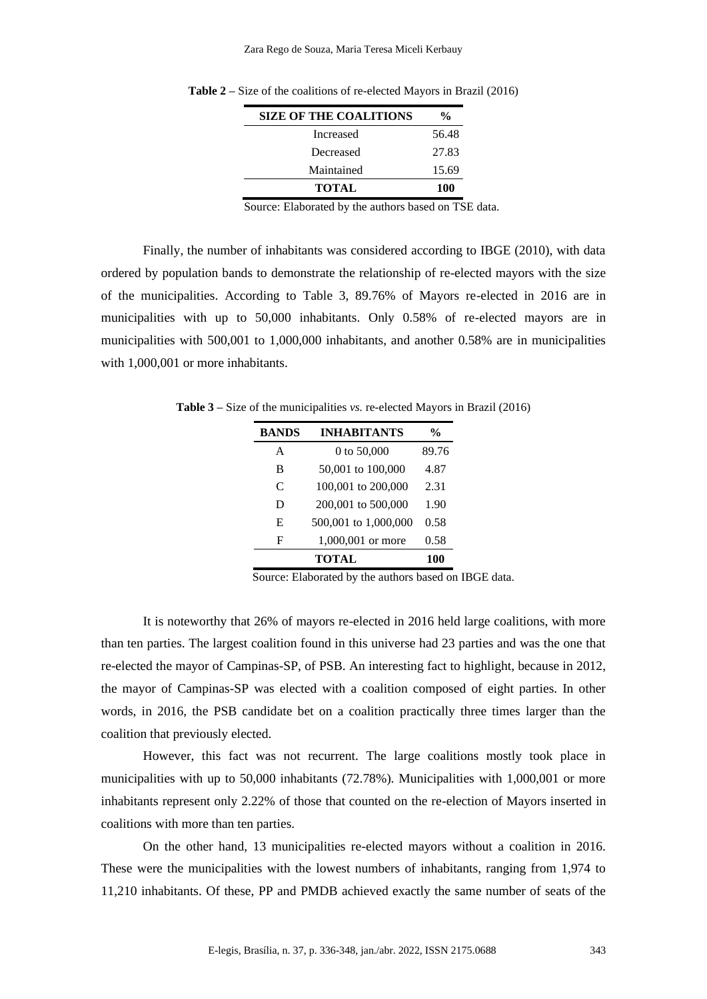| <b>SIZE OF THE COALITIONS</b> | $\frac{0}{0}$ |
|-------------------------------|---------------|
| Increased                     | 56.48         |
| Decreased                     | 27.83         |
| Maintained                    | 15.69         |
| <b>TOTAL</b>                  | 100           |

**Table 2 –** Size of the coalitions of re-elected Mayors in Brazil (2016)

Source: Elaborated by the authors based on TSE data.

Finally, the number of inhabitants was considered according to IBGE (2010), with data ordered by population bands to demonstrate the relationship of re-elected mayors with the size of the municipalities. According to Table 3, 89.76% of Mayors re-elected in 2016 are in municipalities with up to 50,000 inhabitants. Only 0.58% of re-elected mayors are in municipalities with 500,001 to 1,000,000 inhabitants, and another 0.58% are in municipalities with 1,000,001 or more inhabitants.

**Table 3 –** Size of the municipalities *vs.* re-elected Mayors in Brazil (2016)

| <b>BANDS</b> | <b>INHABITANTS</b>   | %     |
|--------------|----------------------|-------|
| A            | 0 to 50,000          | 89.76 |
| B            | 50,001 to 100,000    | 4.87  |
| C            | 100,001 to 200,000   | 2.31  |
| D            | 200,001 to 500,000   | 1.90  |
| E            | 500,001 to 1,000,000 | 0.58  |
| F            | 1,000,001 or more    | 0.58  |
|              | TOTAL                | 100   |

Source: Elaborated by the authors based on IBGE data.

It is noteworthy that 26% of mayors re-elected in 2016 held large coalitions, with more than ten parties. The largest coalition found in this universe had 23 parties and was the one that re-elected the mayor of Campinas-SP, of PSB. An interesting fact to highlight, because in 2012, the mayor of Campinas-SP was elected with a coalition composed of eight parties. In other words, in 2016, the PSB candidate bet on a coalition practically three times larger than the coalition that previously elected.

However, this fact was not recurrent. The large coalitions mostly took place in municipalities with up to 50,000 inhabitants (72.78%). Municipalities with 1,000,001 or more inhabitants represent only 2.22% of those that counted on the re-election of Mayors inserted in coalitions with more than ten parties.

On the other hand, 13 municipalities re-elected mayors without a coalition in 2016. These were the municipalities with the lowest numbers of inhabitants, ranging from 1,974 to 11,210 inhabitants. Of these, PP and PMDB achieved exactly the same number of seats of the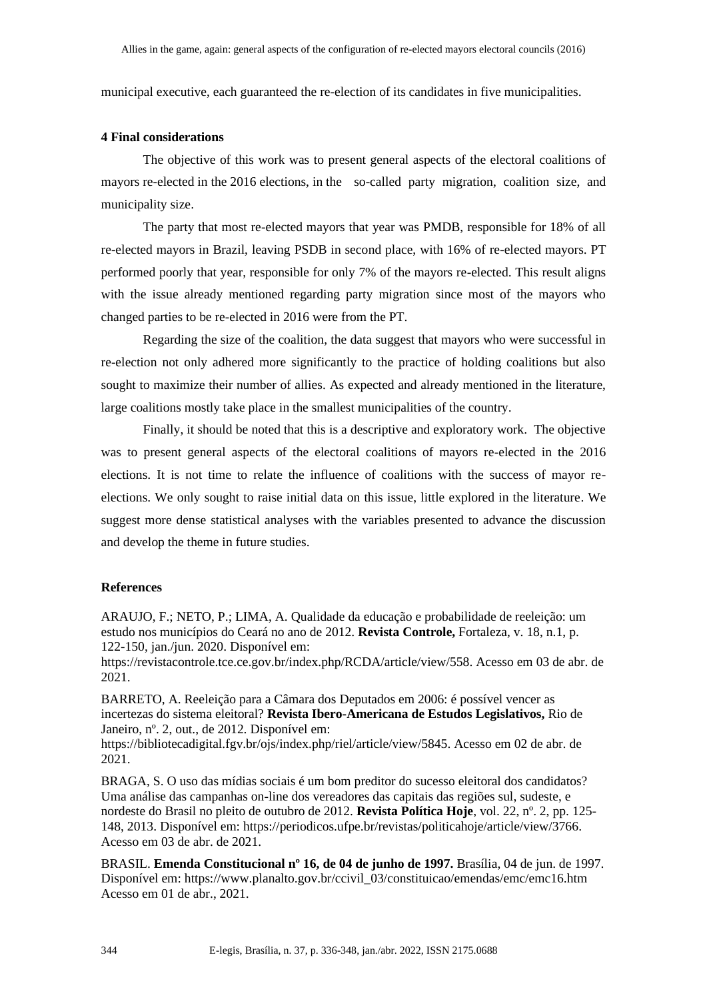municipal executive, each guaranteed the re-election of its candidates in five municipalities.

# **4 Final considerations**

The objective of this work was to present general aspects of the electoral coalitions of mayors re-elected in the 2016 elections, in the so-called party migration, coalition size, and municipality size.

The party that most re-elected mayors that year was PMDB, responsible for 18% of all re-elected mayors in Brazil, leaving PSDB in second place, with 16% of re-elected mayors. PT performed poorly that year, responsible for only 7% of the mayors re-elected. This result aligns with the issue already mentioned regarding party migration since most of the mayors who changed parties to be re-elected in 2016 were from the PT.

Regarding the size of the coalition, the data suggest that mayors who were successful in re-election not only adhered more significantly to the practice of holding coalitions but also sought to maximize their number of allies. As expected and already mentioned in the literature, large coalitions mostly take place in the smallest municipalities of the country.

Finally, it should be noted that this is a descriptive and exploratory work. The objective was to present general aspects of the electoral coalitions of mayors re-elected in the 2016 elections. It is not time to relate the influence of coalitions with the success of mayor reelections. We only sought to raise initial data on this issue, little explored in the literature. We suggest more dense statistical analyses with the variables presented to advance the discussion and develop the theme in future studies.

## **References**

ARAUJO, F.; NETO, P.; LIMA, A. Qualidade da educação e probabilidade de reeleição: um estudo nos municípios do Ceará no ano de 2012. **Revista Controle,** Fortaleza, v. 18, n.1, p. 122-150, jan./jun. 2020. Disponível em:

https://revistacontrole.tce.ce.gov.br/index.php/RCDA/article/view/558. Acesso em 03 de abr. de 2021.

BARRETO, A. Reeleição para a Câmara dos Deputados em 2006: é possível vencer as incertezas do sistema eleitoral? **Revista Ibero-Americana de Estudos Legislativos,** Rio de Janeiro, nº. 2, out., de 2012. Disponível em:

https://bibliotecadigital.fgv.br/ojs/index.php/riel/article/view/5845. Acesso em 02 de abr. de 2021.

BRAGA, S. O uso das mídias sociais é um bom preditor do sucesso eleitoral dos candidatos? Uma análise das campanhas on-line dos vereadores das capitais das regiões sul, sudeste, e nordeste do Brasil no pleito de outubro de 2012. **Revista Política Hoje**, vol. 22, nº. 2, pp. 125- 148, 2013. Disponível em: https://periodicos.ufpe.br/revistas/politicahoje/article/view/3766. Acesso em 03 de abr. de 2021.

BRASIL. **Emenda Constitucional nº 16, de 04 de junho de 1997.** Brasília, 04 de jun. de 1997. Disponível em: https://www.planalto.gov.br/ccivil\_03/constituicao/emendas/emc/emc16.htm Acesso em 01 de abr., 2021.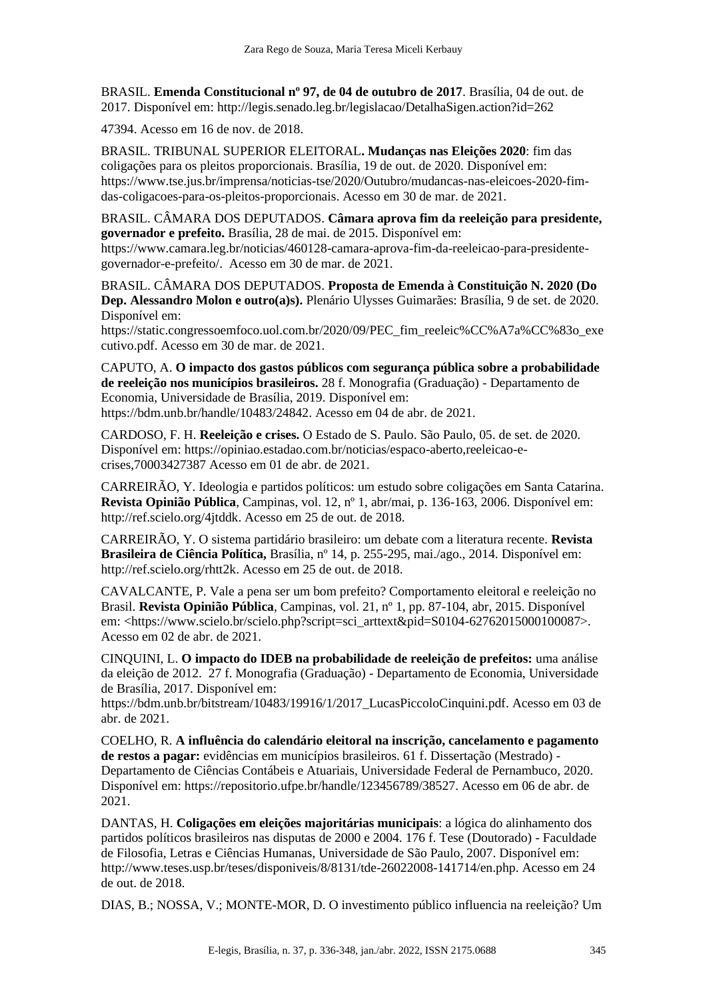BRASIL. **Emenda Constitucional nº 97, de 04 de outubro de 2017**. Brasília, 04 de out. de 2017. Disponível em: http://legis.senado.leg.br/legislacao/DetalhaSigen.action?id=262

47394. Acesso em 16 de nov. de 2018.

BRASIL. TRIBUNAL SUPERIOR ELEITORAL**. Mudanças nas Eleições 2020**: fim das coligações para os pleitos proporcionais. Brasília, 19 de out. de 2020. Disponível em: https://www.tse.jus.br/imprensa/noticias-tse/2020/Outubro/mudancas-nas-eleicoes-2020-fimdas-coligacoes-para-os-pleitos-proporcionais. Acesso em 30 de mar. de 2021.

BRASIL. CÂMARA DOS DEPUTADOS. **Câmara aprova fim da reeleição para presidente, governador e prefeito.** Brasília, 28 de mai. de 2015. Disponível em: https://www.camara.leg.br/noticias/460128-camara-aprova-fim-da-reeleicao-para-presidentegovernador-e-prefeito/. Acesso em 30 de mar. de 2021.

BRASIL. CÂMARA DOS DEPUTADOS. **Proposta de Emenda à Constituição N. 2020 (Do Dep. Alessandro Molon e outro(a)s).** Plenário Ulysses Guimarães: Brasília, 9 de set. de 2020. Disponível em:

https://static.congressoemfoco.uol.com.br/2020/09/PEC\_fim\_reeleic%CC%A7a%CC%83o\_exe cutivo.pdf. Acesso em 30 de mar. de 2021.

CAPUTO, A. **O impacto dos gastos públicos com segurança pública sobre a probabilidade de reeleição nos municípios brasileiros.** 28 f. Monografia (Graduação) - Departamento de Economia, Universidade de Brasília, 2019. Disponível em: https://bdm.unb.br/handle/10483/24842. Acesso em 04 de abr. de 2021.

CARDOSO, F. H. **Reeleição e crises.** O Estado de S. Paulo. São Paulo, 05. de set. de 2020. Disponível em: https://opiniao.estadao.com.br/noticias/espaco-aberto,reeleicao-ecrises,70003427387 Acesso em 01 de abr. de 2021.

CARREIRÃO, Y. Ideologia e partidos políticos: um estudo sobre coligações em Santa Catarina. **Revista Opinião Pública**, Campinas, vol. 12, nº 1, abr/mai, p. 136-163, 2006. Disponível em: http://ref.scielo.org/4jtddk. Acesso em 25 de out. de 2018.

CARREIRÃO, Y. O sistema partidário brasileiro: um debate com a literatura recente. **Revista Brasileira de Ciência Política,** Brasília, nº 14, p. 255-295, mai./ago., 2014. Disponível em: http://ref.scielo.org/rhtt2k. Acesso em 25 de out. de 2018.

CAVALCANTE, P. Vale a pena ser um bom prefeito? Comportamento eleitoral e reeleição no Brasil. **Revista Opinião Pública**, Campinas, vol. 21, nº 1, pp. 87-104, abr, 2015. Disponível em: <https://www.scielo.br/scielo.php?script=sci\_arttext&pid=S0104-62762015000100087>. Acesso em 02 de abr. de 2021.

CINQUINI, L. **O impacto do IDEB na probabilidade de reeleição de prefeitos:** uma análise da eleição de 2012. 27 f. Monografia (Graduação) - Departamento de Economia, Universidade de Brasília, 2017. Disponível em:

https://bdm.unb.br/bitstream/10483/19916/1/2017\_LucasPiccoloCinquini.pdf. Acesso em 03 de abr. de 2021.

COELHO, R. **A influência do calendário eleitoral na inscrição, cancelamento e pagamento de restos a pagar:** evidências em municípios brasileiros. 61 f. Dissertação (Mestrado) - Departamento de Ciências Contábeis e Atuariais, Universidade Federal de Pernambuco, 2020. Disponível em: https://repositorio.ufpe.br/handle/123456789/38527. Acesso em 06 de abr. de 2021.

DANTAS, H. **Coligações em eleições majoritárias municipais**: a lógica do alinhamento dos partidos políticos brasileiros nas disputas de 2000 e 2004. 176 f. Tese (Doutorado) - Faculdade de Filosofia, Letras e Ciências Humanas, Universidade de São Paulo, 2007. Disponível em: http://www.teses.usp.br/teses/disponiveis/8/8131/tde-26022008-141714/en.php. Acesso em 24 de out. de 2018.

DIAS, B.; NOSSA, V.; MONTE-MOR, D. O investimento público influencia na reeleição? Um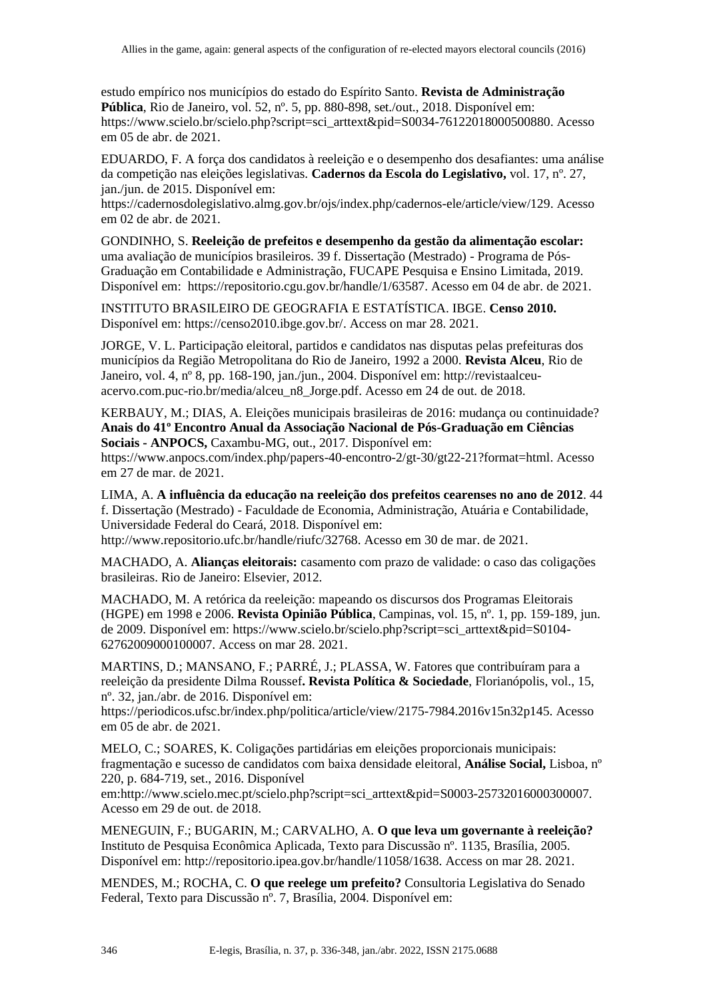estudo empírico nos municípios do estado do Espírito Santo. **Revista de Administração Pública**, Rio de Janeiro, vol. 52, nº. 5, pp. 880-898, set./out., 2018. Disponível em: https://www.scielo.br/scielo.php?script=sci\_arttext&pid=S0034-76122018000500880. Acesso em 05 de abr. de 2021.

EDUARDO, F. A força dos candidatos à reeleição e o desempenho dos desafiantes: uma análise da competição nas eleições legislativas. **Cadernos da Escola do Legislativo,** vol. 17, nº. 27, jan./jun. de 2015. Disponível em:

https://cadernosdolegislativo.almg.gov.br/ojs/index.php/cadernos-ele/article/view/129. Acesso em 02 de abr. de 2021.

GONDINHO, S. **Reeleição de prefeitos e desempenho da gestão da alimentação escolar:** uma avaliação de municípios brasileiros. 39 f. Dissertação (Mestrado) - Programa de Pós-Graduação em Contabilidade e Administração, FUCAPE Pesquisa e Ensino Limitada, 2019. Disponível em: https://repositorio.cgu.gov.br/handle/1/63587. Acesso em 04 de abr. de 2021.

INSTITUTO BRASILEIRO DE GEOGRAFIA E ESTATÍSTICA. IBGE. **Censo 2010.** Disponível em: https://censo2010.ibge.gov.br/. Access on mar 28. 2021.

JORGE, V. L. Participação eleitoral, partidos e candidatos nas disputas pelas prefeituras dos municípios da Região Metropolitana do Rio de Janeiro, 1992 a 2000. **Revista Alceu**, Rio de Janeiro, vol. 4, nº 8, pp. 168-190, jan./jun., 2004. Disponível em: http://revistaalceuacervo.com.puc-rio.br/media/alceu\_n8\_Jorge.pdf. Acesso em 24 de out. de 2018.

KERBAUY, M.; DIAS, A. Eleições municipais brasileiras de 2016: mudança ou continuidade? **Anais do 41º Encontro Anual da Associação Nacional de Pós-Graduação em Ciências Sociais - ANPOCS,** Caxambu-MG, out., 2017. Disponível em:

https://www.anpocs.com/index.php/papers-40-encontro-2/gt-30/gt22-21?format=html. Acesso em 27 de mar. de 2021.

LIMA, A. **A influência da educação na reeleição dos prefeitos cearenses no ano de 2012**. 44 f. Dissertação (Mestrado) - Faculdade de Economia, Administração, Atuária e Contabilidade, Universidade Federal do Ceará, 2018. Disponível em: http://www.repositorio.ufc.br/handle/riufc/32768. Acesso em 30 de mar. de 2021.

MACHADO, A. **Alianças eleitorais:** casamento com prazo de validade: o caso das coligações brasileiras. Rio de Janeiro: Elsevier, 2012.

MACHADO, M. A retórica da reeleição: mapeando os discursos dos Programas Eleitorais (HGPE) em 1998 e 2006. **Revista Opinião Pública**, Campinas, vol. 15, nº. 1, pp. 159-189, jun. de 2009. Disponível em: https://www.scielo.br/scielo.php?script=sci\_arttext&pid=S0104- 62762009000100007. Access on mar 28. 2021.

MARTINS, D.; MANSANO, F.; PARRÉ, J.; PLASSA, W. Fatores que contribuíram para a reeleição da presidente Dilma Roussef**. Revista Política & Sociedade**, Florianópolis, vol., 15, nº. 32, jan./abr. de 2016. Disponível em:

https://periodicos.ufsc.br/index.php/politica/article/view/2175-7984.2016v15n32p145. Acesso em 05 de abr. de 2021.

MELO, C.; SOARES, K. Coligações partidárias em eleições proporcionais municipais: fragmentação e sucesso de candidatos com baixa densidade eleitoral, **Análise Social,** Lisboa, nº 220, p. 684-719, set., 2016. Disponível

em:http://www.scielo.mec.pt/scielo.php?script=sci\_arttext&pid=S0003-25732016000300007. Acesso em 29 de out. de 2018.

MENEGUIN, F.; BUGARIN, M.; CARVALHO, A. **O que leva um governante à reeleição?** Instituto de Pesquisa Econômica Aplicada, Texto para Discussão nº. 1135, Brasília, 2005. Disponível em: http://repositorio.ipea.gov.br/handle/11058/1638. Access on mar 28. 2021.

MENDES, M.; ROCHA, C. **O que reelege um prefeito?** Consultoria Legislativa do Senado Federal, Texto para Discussão nº. 7, Brasília, 2004. Disponível em: